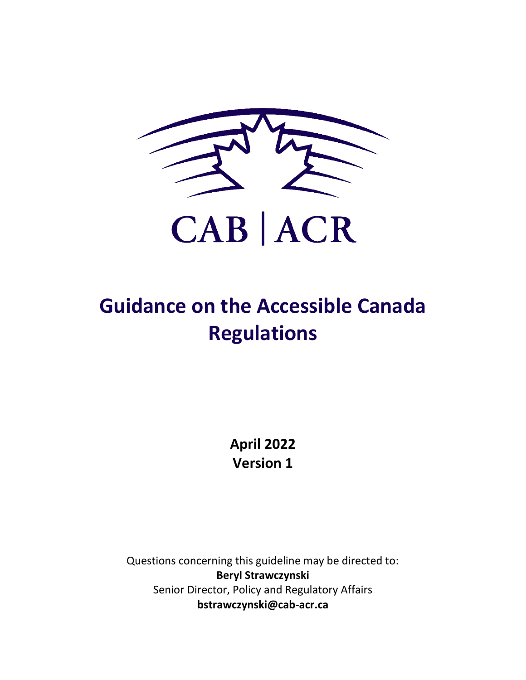

# **Guidance on the Accessible Canada Regulations**

**April 2022 Version 1**

Questions concerning this guideline may be directed to: **Beryl Strawczynski** Senior Director, Policy and Regulatory Affairs **bstrawczynski@cab-acr.ca**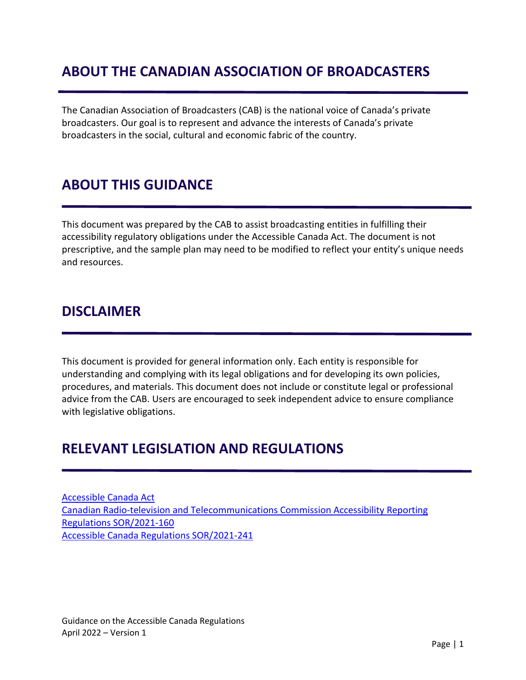# <span id="page-1-0"></span>**ABOUT THE CANADIAN ASSOCIATION OF BROADCASTERS**

The Canadian Association of Broadcasters (CAB) is the national voice of Canada's private broadcasters. Our goal is to represent and advance the interests of Canada's private broadcasters in the social, cultural and economic fabric of the country.

### <span id="page-1-1"></span>**ABOUT THIS GUIDANCE**

This document was prepared by the CAB to assist broadcasting entities in fulfilling their accessibility regulatory obligations under the Accessible Canada Act. The document is not prescriptive, and the sample plan may need to be modified to reflect your entity's unique needs and resources.

### <span id="page-1-2"></span>**DISCLAIMER**

This document is provided for general information only. Each entity is responsible for understanding and complying with its legal obligations and for developing its own policies, procedures, and materials. This document does not include or constitute legal or professional advice from the CAB. Users are encouraged to seek independent advice to ensure compliance with legislative obligations.

### <span id="page-1-3"></span>**RELEVANT LEGISLATION AND REGULATIONS**

[Accessible Canada Act](https://laws-lois.justice.gc.ca/eng/acts/A-0.6/FullText.html) [Canadian Radio-television and Telecommunications Commission Accessibility Reporting](https://laws-lois.justice.gc.ca/eng/regulations/SOR-2021-160/FullText.html)  [Regulations SOR/2021-160](https://laws-lois.justice.gc.ca/eng/regulations/SOR-2021-160/FullText.html) [Accessible Canada Regulations SOR/2021-241](https://laws-lois.justice.gc.ca/eng/regulations/SOR-2021-241/FullText.html)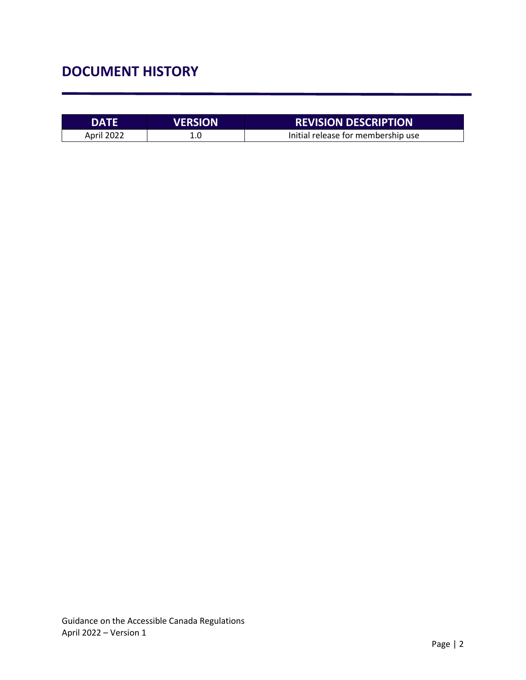# <span id="page-2-0"></span>**DOCUMENT HISTORY**

| <b>DATE</b> | <b>VERSION</b> | <b>REVISION DESCRIPTION</b>        |
|-------------|----------------|------------------------------------|
| April 2022  |                | Initial release for membership use |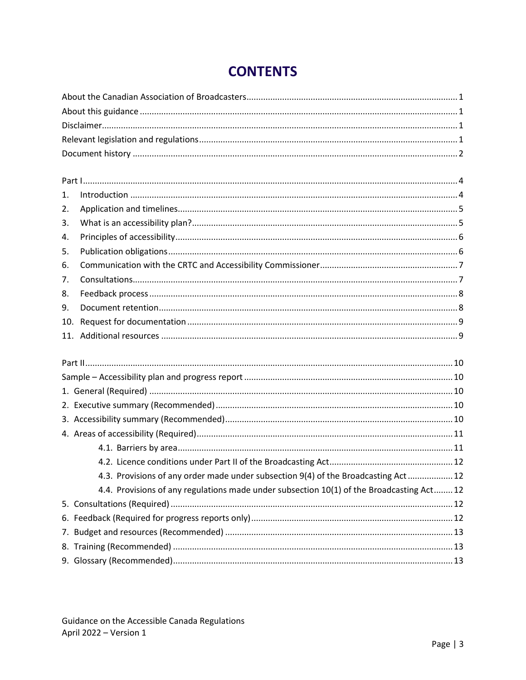<span id="page-3-0"></span>

| 1.  |                                                                                           |  |  |  |  |
|-----|-------------------------------------------------------------------------------------------|--|--|--|--|
| 2.  |                                                                                           |  |  |  |  |
| 3.  |                                                                                           |  |  |  |  |
| 4.  |                                                                                           |  |  |  |  |
| 5.  |                                                                                           |  |  |  |  |
| 6.  |                                                                                           |  |  |  |  |
| 7.  |                                                                                           |  |  |  |  |
| 8.  |                                                                                           |  |  |  |  |
| 9.  |                                                                                           |  |  |  |  |
| 10. |                                                                                           |  |  |  |  |
|     |                                                                                           |  |  |  |  |
|     |                                                                                           |  |  |  |  |
|     |                                                                                           |  |  |  |  |
|     |                                                                                           |  |  |  |  |
|     |                                                                                           |  |  |  |  |
|     |                                                                                           |  |  |  |  |
|     |                                                                                           |  |  |  |  |
|     |                                                                                           |  |  |  |  |
|     |                                                                                           |  |  |  |  |
|     | 4.3. Provisions of any order made under subsection 9(4) of the Broadcasting Act 12        |  |  |  |  |
|     | 4.4. Provisions of any regulations made under subsection 10(1) of the Broadcasting Act 12 |  |  |  |  |
|     |                                                                                           |  |  |  |  |
|     |                                                                                           |  |  |  |  |
|     |                                                                                           |  |  |  |  |
|     |                                                                                           |  |  |  |  |
|     |                                                                                           |  |  |  |  |
|     |                                                                                           |  |  |  |  |

# **CONTENTS**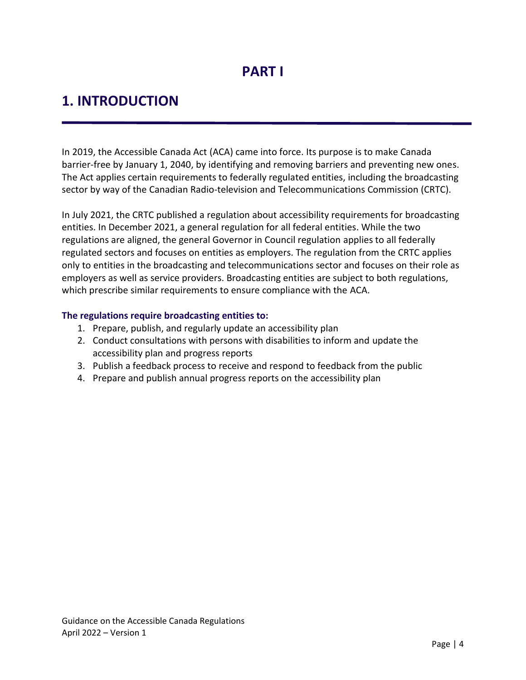# <span id="page-4-0"></span>**1. INTRODUCTION**

In 2019, the Accessible Canada Act (ACA) came into force. Its purpose is to make Canada barrier-free by January 1, 2040, by identifying and removing barriers and preventing new ones. The Act applies certain requirements to federally regulated entities, including the broadcasting sector by way of the Canadian Radio-television and Telecommunications Commission (CRTC).

In July 2021, the CRTC published a regulation about accessibility requirements for broadcasting entities. In December 2021, a general regulation for all federal entities. While the two regulations are aligned, the general Governor in Council regulation applies to all federally regulated sectors and focuses on entities as employers. The regulation from the CRTC applies only to entities in the broadcasting and telecommunications sector and focuses on their role as employers as well as service providers. Broadcasting entities are subject to both regulations, which prescribe similar requirements to ensure compliance with the ACA.

### **The regulations require broadcasting entities to:**

- 1. Prepare, publish, and regularly update an accessibility plan
- 2. Conduct consultations with persons with disabilities to inform and update the accessibility plan and progress reports
- 3. Publish a feedback process to receive and respond to feedback from the public
- 4. Prepare and publish annual progress reports on the accessibility plan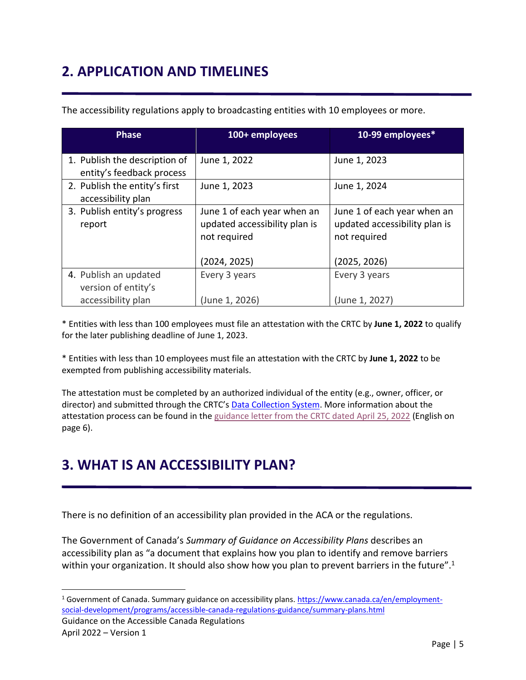# <span id="page-5-0"></span>**2. APPLICATION AND TIMELINES**

| <b>Phase</b>                                               | 100+ employees                                                               | 10-99 employees*                                                             |
|------------------------------------------------------------|------------------------------------------------------------------------------|------------------------------------------------------------------------------|
| 1. Publish the description of<br>entity's feedback process | June 1, 2022                                                                 | June 1, 2023                                                                 |
| 2. Publish the entity's first<br>accessibility plan        | June 1, 2023                                                                 | June 1, 2024                                                                 |
| 3. Publish entity's progress<br>report                     | June 1 of each year when an<br>updated accessibility plan is<br>not required | June 1 of each year when an<br>updated accessibility plan is<br>not required |
|                                                            | (2024, 2025)                                                                 | (2025, 2026)                                                                 |
| 4. Publish an updated<br>version of entity's               | Every 3 years                                                                | Every 3 years                                                                |
| accessibility plan                                         | (June 1, 2026)                                                               | (June 1, 2027)                                                               |

The accessibility regulations apply to broadcasting entities with 10 employees or more.

\* Entities with less than 100 employees must file an attestation with the CRTC by **June 1, 2022** to qualify for the later publishing deadline of June 1, 2023.

\* Entities with less than 10 employees must file an attestation with the CRTC by **June 1, 2022** to be exempted from publishing accessibility materials.

The attestation must be completed by an authorized individual of the entity (e.g., owner, officer, or director) and submitted through the CRTC's [Data Collection System.](https://services.crtc.gc.ca/GetAccess/Saml/SSO/Init?GAREASONCODE=-1&GARESOURCEID=protected&GAURI=https://services.crtc.gc.ca/pro/DCS/%3F%5Fga%3D2.51638505.193192466.1650998758%2D1034630797.1645536713%26%5Fgc%5Flang%3Deng&Reason=-1&APPID=protected&URI=https://services.crtc.gc.ca/pro/DCS/%3F%5Fga%3D2.51638505.193192466.1650998758%2D1034630797.1645536713%26%5Fgc%5Flang%3Deng) More information about the attestation process can be found in th[e guidance letter from the CRTC dated](https://cab-acr.ca/wp-content/uploads/2022/04/CRTC-staff-Letter-Lettre-du-personnel_Attestations_21_04.._.pdf) April 25, 2022 (English on page 6).

# <span id="page-5-1"></span>**3. WHAT IS AN ACCESSIBILITY PLAN?**

There is no definition of an accessibility plan provided in the ACA or the regulations.

The Government of Canada's *Summary of Guidance on Accessibility Plans* describes an accessibility plan as "a document that explains how you plan to identify and remove barriers within your organization. It should also show how you plan to prevent barriers in the future".<sup>1</sup>

<sup>&</sup>lt;sup>1</sup> Government of Canada. Summary guidance on accessibility plans. [https://www.canada.ca/en/employment](https://www.canada.ca/en/employment-social-development/programs/accessible-canada-regulations-guidance/summary-plans.html)[social-development/programs/accessible-canada-regulations-guidance/summary-plans.html](https://www.canada.ca/en/employment-social-development/programs/accessible-canada-regulations-guidance/summary-plans.html)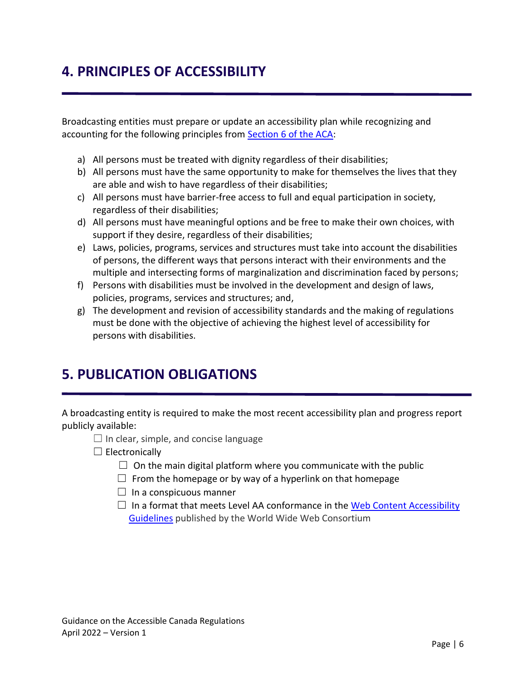# <span id="page-6-0"></span>**4. PRINCIPLES OF ACCESSIBILITY**

Broadcasting entities must prepare or update an accessibility plan while recognizing and accounting for the following principles from [Section 6 of the ACA:](https://laws-lois.justice.gc.ca/eng/acts/A-0.6/page-1.html#h-1153434)

- a) All persons must be treated with dignity regardless of their disabilities;
- b) All persons must have the same opportunity to make for themselves the lives that they are able and wish to have regardless of their disabilities;
- c) All persons must have barrier-free access to full and equal participation in society, regardless of their disabilities;
- d) All persons must have meaningful options and be free to make their own choices, with support if they desire, regardless of their disabilities;
- e) Laws, policies, programs, services and structures must take into account the disabilities of persons, the different ways that persons interact with their environments and the multiple and intersecting forms of marginalization and discrimination faced by persons;
- f) Persons with disabilities must be involved in the development and design of laws, policies, programs, services and structures; and,
- g) The development and revision of accessibility standards and the making of regulations must be done with the objective of achieving the highest level of accessibility for persons with disabilities.

# <span id="page-6-1"></span>**5. PUBLICATION OBLIGATIONS**

A broadcasting entity is required to make the most recent accessibility plan and progress report publicly available:

- $\Box$  In clear, simple, and concise language
- $\Box$  Electronically
	- $\Box$  On the main digital platform where you communicate with the public
	- $\Box$  From the homepage or by way of a hyperlink on that homepage
	- $\Box$  In a conspicuous manner
	- $\Box$  In a format that meets Level AA conformance in the Web Content Accessibility [Guidelines](https://www.w3.org/WAI/standards-guidelines/wcag/) published by the World Wide Web Consortium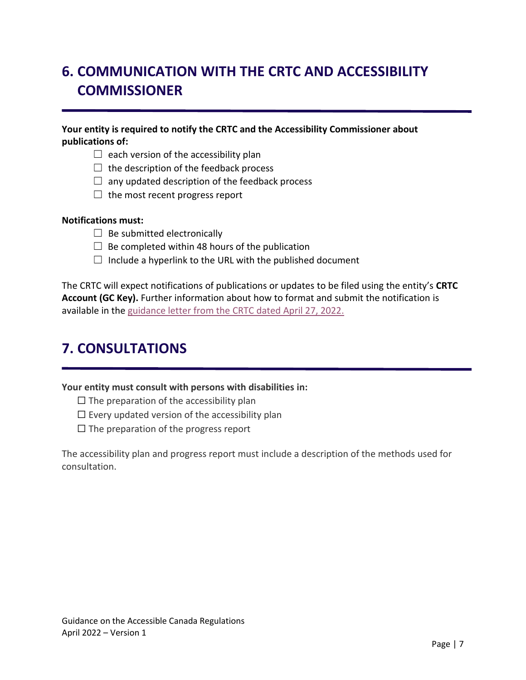# <span id="page-7-0"></span>**6. COMMUNICATION WITH THE CRTC AND ACCESSIBILITY COMMISSIONER**

### **Your entity is required to notify the CRTC and the Accessibility Commissioner about publications of:**

- $\Box$  each version of the accessibility plan
- $\Box$  the description of the feedback process
- $\Box$  any updated description of the feedback process
- $\Box$  the most recent progress report

#### **Notifications must:**

- $\Box$  Be submitted electronically
- $\Box$  Be completed within 48 hours of the publication
- $\Box$  Include a hyperlink to the URL with the published document

The CRTC will expect notifications of publications or updates to be filed using the entity's **CRTC Account (GC Key).** Further information about how to format and submit the notification is available in th[e guidance letter from the CRTC](https://cab-acr.ca/wp-content/uploads/2022/04/CRTC-Staff-Letter_-Accessible_Canada_Regulations_Notice-to-Commission_EN....pdf) dated April 27, 2022.

### <span id="page-7-1"></span>**7. CONSULTATIONS**

**Your entity must consult with persons with disabilities in:**

 $\Box$  The preparation of the accessibility plan

- $\Box$  Every updated version of the accessibility plan
- $\Box$  The preparation of the progress report

The accessibility plan and progress report must include a description of the methods used for consultation.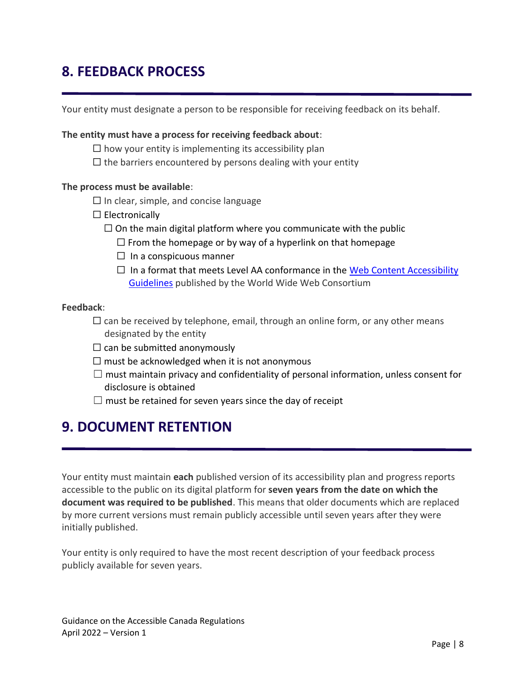# <span id="page-8-0"></span>**8. FEEDBACK PROCESS**

Your entity must designate a person to be responsible for receiving feedback on its behalf.

#### **The entity must have a process for receiving feedback about**:

- $\Box$  how your entity is implementing its accessibility plan
- $\Box$  the barriers encountered by persons dealing with your entity

#### **The process must be available**:

- $\Box$  In clear, simple, and concise language
- $\Box$  Electronically
	- $\Box$  On the main digital platform where you communicate with the public
		- $\Box$  From the homepage or by way of a hyperlink on that homepage
		- $\Box$  In a conspicuous manner
		- $\Box$  In a format that meets Level AA conformance in the Web Content Accessibility [Guidelines](https://www.w3.org/WAI/standards-guidelines/wcag/) published by the World Wide Web Consortium

### **Feedback**:

- $\Box$  can be received by telephone, email, through an online form, or any other means designated by the entity
- $\Box$  can be submitted anonymously
- $\Box$  must be acknowledged when it is not anonymous
- $\square$  must maintain privacy and confidentiality of personal information, unless consent for disclosure is obtained
- $\Box$  must be retained for seven years since the day of receipt

### <span id="page-8-1"></span>**9. DOCUMENT RETENTION**

Your entity must maintain **each** published version of its accessibility plan and progress reports accessible to the public on its digital platform for **seven years from the date on which the document was required to be published**. This means that older documents which are replaced by more current versions must remain publicly accessible until seven years after they were initially published.

Your entity is only required to have the most recent description of your feedback process publicly available for seven years.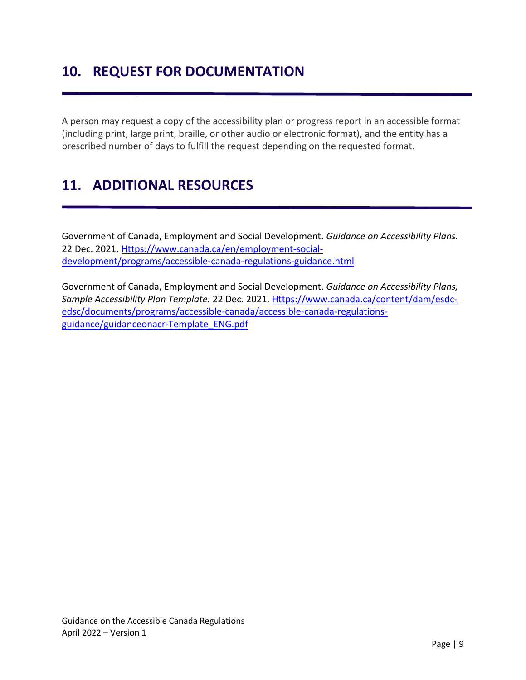# <span id="page-9-0"></span>**10. REQUEST FOR DOCUMENTATION**

A person may request a copy of the accessibility plan or progress report in an accessible format (including print, large print, braille, or other audio or electronic format), and the entity has a prescribed number of days to fulfill the request depending on the requested format.

# <span id="page-9-1"></span>**11. ADDITIONAL RESOURCES**

Government of Canada, Employment and Social Development. *Guidance on Accessibility Plans.*  22 Dec. 2021. [Https://www.canada.ca/en/employment-social](https://www.canada.ca/en/employment-social-development/programs/accessible-canada-regulations-guidance.html)[development/programs/accessible-canada-regulations-guidance.html](https://www.canada.ca/en/employment-social-development/programs/accessible-canada-regulations-guidance.html)

Government of Canada, Employment and Social Development. *Guidance on Accessibility Plans, Sample Accessibility Plan Template.* 22 Dec. 2021. [Https://www.canada.ca/content/dam/esdc](https://www.canada.ca/content/dam/esdc-edsc/documents/programs/accessible-canada/accessible-canada-regulations-guidance/GuidanceOnACR-Template_ENG.pdf)[edsc/documents/programs/accessible-canada/accessible-canada-regulations](https://www.canada.ca/content/dam/esdc-edsc/documents/programs/accessible-canada/accessible-canada-regulations-guidance/GuidanceOnACR-Template_ENG.pdf)[guidance/guidanceonacr-Template\\_ENG.pdf](https://www.canada.ca/content/dam/esdc-edsc/documents/programs/accessible-canada/accessible-canada-regulations-guidance/GuidanceOnACR-Template_ENG.pdf)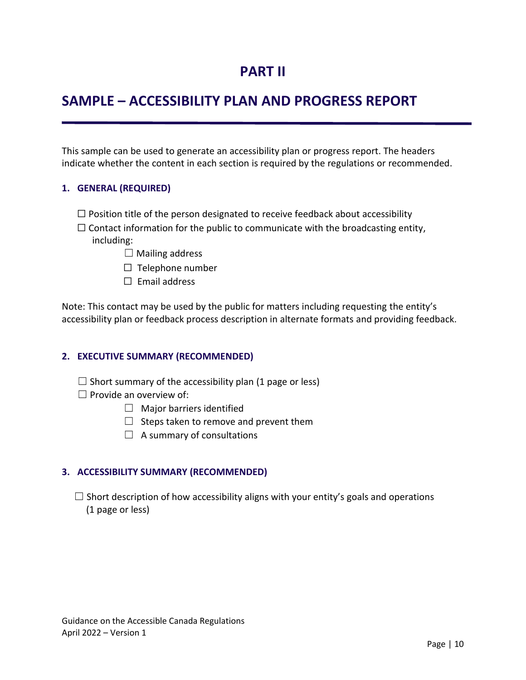### **PART II**

# <span id="page-10-1"></span><span id="page-10-0"></span>**SAMPLE – ACCESSIBILITY PLAN AND PROGRESS REPORT**

This sample can be used to generate an accessibility plan or progress report. The headers indicate whether the content in each section is required by the regulations or recommended.

### <span id="page-10-2"></span>**1. GENERAL (REQUIRED)**

- $\Box$  Position title of the person designated to receive feedback about accessibility
- $\Box$  Contact information for the public to communicate with the broadcasting entity,

including:

- $\Box$  Mailing address
- $\Box$  Telephone number
- $\Box$  Email address

Note: This contact may be used by the public for matters including requesting the entity's accessibility plan or feedback process description in alternate formats and providing feedback.

### <span id="page-10-3"></span>**2. EXECUTIVE SUMMARY (RECOMMENDED)**

- $\Box$  Short summary of the accessibility plan (1 page or less)
- $\Box$  Provide an overview of:
	- ☐ Major barriers identified
	- $\Box$  Steps taken to remove and prevent them
	- $\Box$  A summary of consultations

### <span id="page-10-4"></span>**3. ACCESSIBILITY SUMMARY (RECOMMENDED)**

 $\Box$  Short description of how accessibility aligns with your entity's goals and operations (1 page or less)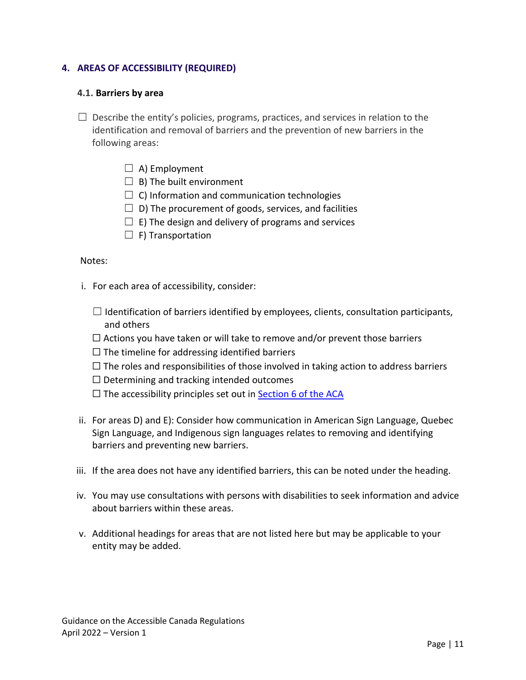### <span id="page-11-0"></span>**4. AREAS OF ACCESSIBILITY (REQUIRED)**

#### <span id="page-11-1"></span>**4.1. Barriers by area**

- $\Box$  Describe the entity's policies, programs, practices, and services in relation to the identification and removal of barriers and the prevention of new barriers in the following areas:
	- $\Box$  A) Employment
	- $\Box$  B) The built environment
	- $\Box$  C) Information and communication technologies
	- $\Box$  D) The procurement of goods, services, and facilities
	- $\Box$  E) The design and delivery of programs and services
	- $\Box$  F) Transportation

#### Notes:

- i. For each area of accessibility, consider:
	- $\Box$  Identification of barriers identified by employees, clients, consultation participants, and others
	- $\Box$  Actions you have taken or will take to remove and/or prevent those barriers
	- $\Box$  The timeline for addressing identified barriers
	- $\Box$  The roles and responsibilities of those involved in taking action to address barriers
	- $\Box$  Determining and tracking intended outcomes
	- $\Box$  The accessibility principles set out in [Section 6 of the ACA](#page-6-0)
- ii. For areas D) and E): Consider how communication in American Sign Language, Quebec Sign Language, and Indigenous sign languages relates to removing and identifying barriers and preventing new barriers.
- iii. If the area does not have any identified barriers, this can be noted under the heading.
- iv. You may use consultations with persons with disabilities to seek information and advice about barriers within these areas.
- v. Additional headings for areas that are not listed here but may be applicable to your entity may be added.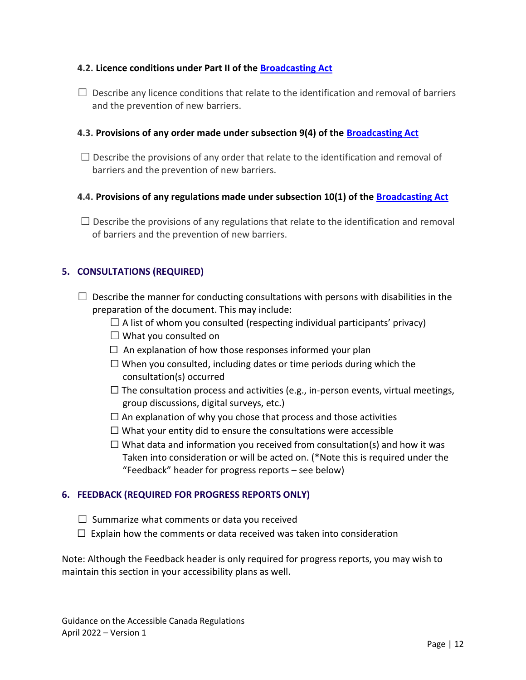### <span id="page-12-0"></span>**4.2. Licence conditions under Part II of the [Broadcasting Act](https://laws-lois.justice.gc.ca/eng/acts/B-9.01/page-2.html#h-34268)**

 $\Box$  Describe any licence conditions that relate to the identification and removal of barriers and the prevention of new barriers.

### <span id="page-12-1"></span>**4.3. Provisions of any order made under subsection 9(4) of the [Broadcasting Act](https://laws-lois.justice.gc.ca/eng/acts/B-9.01/page-2.html#h-34268)**

 $\Box$  Describe the provisions of any order that relate to the identification and removal of barriers and the prevention of new barriers.

### <span id="page-12-2"></span>**4.4. Provisions of any regulations made under subsection 10(1) of the [Broadcasting Act](https://laws-lois.justice.gc.ca/eng/acts/B-9.01/page-2.html#h-34268)**

 $\Box$  Describe the provisions of any regulations that relate to the identification and removal of barriers and the prevention of new barriers.

### <span id="page-12-3"></span>**5. CONSULTATIONS (REQUIRED)**

- $\Box$  Describe the manner for conducting consultations with persons with disabilities in the preparation of the document. This may include:
	- $\Box$  A list of whom you consulted (respecting individual participants' privacy)
	- $\Box$  What you consulted on
	- $\Box$  An explanation of how those responses informed your plan
	- $\Box$  When you consulted, including dates or time periods during which the consultation(s) occurred
	- $\Box$  The consultation process and activities (e.g., in-person events, virtual meetings, group discussions, digital surveys, etc.)
	- $\Box$  An explanation of why you chose that process and those activities
	- $\Box$  What your entity did to ensure the consultations were accessible
	- $\Box$  What data and information you received from consultation(s) and how it was Taken into consideration or will be acted on. (\*Note this is required under the "Feedback" header for progress reports – see below)

### <span id="page-12-4"></span>**6. FEEDBACK (REQUIRED FOR PROGRESS REPORTS ONLY)**

- $\Box$  Summarize what comments or data you received
- $\Box$  Explain how the comments or data received was taken into consideration

Note: Although the Feedback header is only required for progress reports, you may wish to maintain this section in your accessibility plans as well.